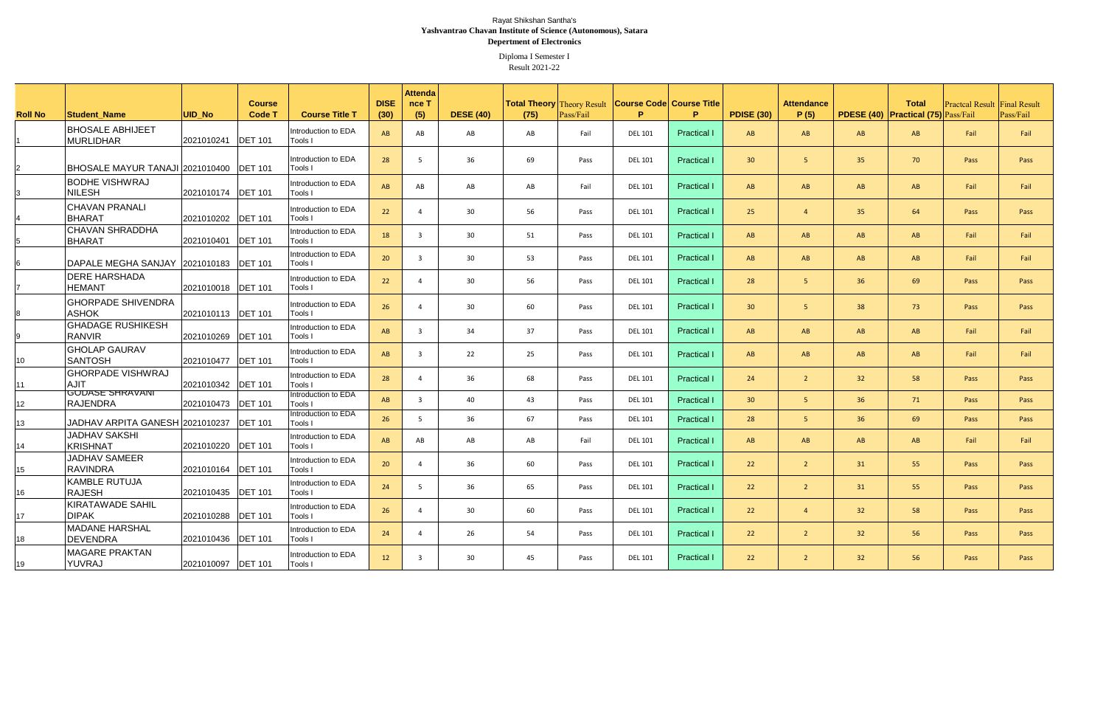|                 |                                              |                            |                                |                                       |                     | <b>Attenda</b> |                  |                 |           |                                                                  |                    |                   |                           |                 |                                                            |                                     |           |
|-----------------|----------------------------------------------|----------------------------|--------------------------------|---------------------------------------|---------------------|----------------|------------------|-----------------|-----------|------------------------------------------------------------------|--------------------|-------------------|---------------------------|-----------------|------------------------------------------------------------|-------------------------------------|-----------|
| <b>Roll No</b>  | <b>Student Name</b>                          | UID No                     | <b>Course</b><br><b>Code T</b> | <b>Course Title T</b>                 | <b>DISE</b><br>(30) | nce T<br>(5)   | <b>DESE (40)</b> | (75)            | Pass/Fail | <b>Total Theory Theory Result Course Code Course Title</b><br>P. | P.                 | <b>PDISE (30)</b> | <b>Attendance</b><br>P(5) |                 | <b>Total</b><br><b>PDESE (40) Practical (75)</b> Pass/Fail | <b>Practcal Result Final Result</b> | Pass/Fail |
|                 | <b>IBHOSALE ABHIJEET</b><br><b>MURLIDHAR</b> | 2021010241 <b>DET</b> 101  |                                | Introduction to EDA<br>Tools I        | AB                  | AB             | AB               | AB              | Fail      | <b>DEL 101</b>                                                   | <b>Practical</b>   | AB                | AB                        | AB              | AB                                                         | Fail                                | Fail      |
|                 | BHOSALE MAYUR TANAJI 2021010400 DET 101      |                            |                                | Introduction to EDA<br>Tools I        | 28                  | $\overline{5}$ | 36               | 69              | Pass      | <b>DEL 101</b>                                                   | <b>Practical</b>   | 30 <sup>°</sup>   |                           | 35              | 70                                                         | Pass                                | Pass      |
|                 | <b>BODHE VISHWRAJ</b><br><b>NILESH</b>       | 2021010174  DET 101        |                                | Introduction to EDA<br><b>Tools I</b> | AB                  | AB             | AB               | AB              | Fail      | <b>DEL 101</b>                                                   | <b>Practical</b>   | AB                | AB                        | AB              | AB                                                         | Fail                                | Fail      |
|                 | <b>CHAVAN PRANALI</b><br><b>BHARAT</b>       | 2021010202  DET 101        |                                | Introduction to EDA<br>Tools I        | 22                  |                | 30               | 56              | Pass      | <b>DEL 101</b>                                                   | <b>Practical</b>   | 25                |                           | 35              | 64                                                         | Pass                                | Pass      |
|                 | <b>CHAVAN SHRADDHA</b><br>BHARAT             | 2021010401 <b>DET</b> 101  |                                | Introduction to EDA<br>Tools I        | 18                  | ्२             | 30               | 51              | Pass      | <b>DEL 101</b>                                                   | <b>Practical I</b> | AB                | AB                        | AB              | AB                                                         | Fail                                | Fail      |
|                 | DAPALE MEGHA SANJAY 2021010183 DET 101       |                            |                                | Introduction to EDA<br><b>Tools I</b> | 20                  | $\overline{3}$ | 30               | 53              | Pass      | <b>DEL 101</b>                                                   | <b>Practical I</b> | AB                | AB                        | AB              | AB                                                         | Fail                                | Fail      |
|                 | <b>DERE HARSHADA</b><br><b>HEMANT</b>        | 2021010018 <b>DET</b> 101  |                                | Introduction to EDA<br>Tools I        | 22                  |                | 30               | 56              | Pass      | <b>DEL 101</b>                                                   | <b>Practical I</b> | 28                | 5                         | 36 <sup>°</sup> | 69                                                         | Pass                                | Pass      |
|                 | <b>GHORPADE SHIVENDRA</b><br><b>ASHOK</b>    | 2021010113 <b>DET</b> 101  |                                | Introduction to EDA<br><b>Tools I</b> | 26                  |                | 30               | 60              | Pass      | <b>DEL 101</b>                                                   | <b>Practical I</b> | 30 <sup>°</sup>   | 5.                        | 38              | 73                                                         | Pass                                | Pass      |
|                 | <b>GHADAGE RUSHIKESH</b><br><b>RANVIR</b>    | 2021010269   DET 101       |                                | Introduction to EDA<br><b>Tools I</b> | AB                  | $\overline{3}$ | 34               | 37              | Pass      | <b>DEL 101</b>                                                   | <b>Practical I</b> | AB                | AB                        | AB              | AB                                                         | Fail                                | Fail      |
| 10 <sup>°</sup> | <b>GHOLAP GAURAV</b><br><b>SANTOSH</b>       | 2021010477  DET 101        |                                | Introduction to EDA<br><b>Tools I</b> | AB                  | $\overline{3}$ | 22               | 25 <sub>2</sub> | Pass      | <b>DEL 101</b>                                                   | <b>Practical I</b> | AB                | AB                        | AB              | AB                                                         | Fail                                | Fail      |
| 11              | <b>GHORPADE VISHWRAJ</b><br><b>AJIT</b>      | 2021010342 <b>DET</b> 101  |                                | Introduction to EDA<br>Tools I        | 28                  |                | 36               | 68              | Pass      | <b>DEL 101</b>                                                   | <b>Practical</b>   | 24                |                           | 32 <sup>2</sup> | 58                                                         | Pass                                | Pass      |
| 12              | <b>GODASE SHRAVANI</b><br><b>RAJENDRA</b>    | 2021010473 <b>DET</b> 101  |                                | Introduction to EDA<br>Tools I        | AB                  | $\mathbf{3}$   | 40               | 43              | Pass      | <b>DEL 101</b>                                                   | <b>Practical I</b> | 30 <sup>°</sup>   | 5                         | 36              | 71                                                         | Pass                                | Pass      |
| 13              | JADHAV ARPITA GANESH 2021010237   DET 101    |                            |                                | Introduction to EDA<br>Tools I        | 26                  | -5             | 36               | 67              | Pass      | <b>DEL 101</b>                                                   | <b>Practical I</b> | 28                | 5 <sub>1</sub>            | 36              | 69                                                         | Pass                                | Pass      |
| 14              | <b>JADHAV SAKSHI</b><br>KRISHNAT             | 2021010220 <b>IDET</b> 101 |                                | Introduction to EDA<br>Tools I        | AB                  | AB             | AB               | AB              | Fail      | <b>DEL 101</b>                                                   | <b>Practical I</b> | AB                | AB                        | AB              | AB                                                         | Fail                                | Fail      |
| 15 <sub>1</sub> | <b>JADHAV SAMEER</b><br><b>RAVINDRA</b>      | 2021010164 <b>DET</b> 101  |                                | Introduction to EDA<br>Tools I        | 20                  | 4              | 36               | 60              | Pass      | <b>DEL 101</b>                                                   | <b>Practical I</b> | 22                | $\overline{2}$            | 31              | 55                                                         | Pass                                | Pass      |
| 16              | <b>KAMBLE RUTUJA</b><br><b>RAJESH</b>        | 2021010435 <b>DET</b> 101  |                                | Introduction to EDA<br>Tools I        | 24                  | -5             | 36               | 65              | Pass      | <b>DEL 101</b>                                                   | <b>Practical I</b> | 22                | $\overline{2}$            | 31              | 55                                                         | Pass                                | Pass      |
| 17              | KIRATAWADE SAHIL<br><b>DIPAK</b>             | 2021010288 <b>DET</b> 101  |                                | Introduction to EDA<br><b>Tools I</b> | 26                  | $\overline{4}$ | 30               | 60              | Pass      | <b>DEL 101</b>                                                   | <b>Practical I</b> | 22                |                           | 32 <sup>°</sup> | 58                                                         | Pass                                | Pass      |
| 18              | <b>MADANE HARSHAL</b><br><b>DEVENDRA</b>     | 2021010436 <b>DET</b> 101  |                                | Introduction to EDA<br><b>Tools I</b> | 24                  |                | 26               | 54              | Pass      | <b>DEL 101</b>                                                   | <b>Practical I</b> | 22                | $\overline{2}$            | 32 <sup>°</sup> | 56                                                         | Pass                                | Pass      |
| 19              | <b>MAGARE PRAKTAN</b><br><b>YUVRAJ</b>       | 2021010097  DET 101        |                                | Introduction to EDA<br>Tools I        | 12                  | -3             | 30               | 45              | Pass      | <b>DEL 101</b>                                                   | <b>Practical I</b> | 22                |                           | 32 <sub>2</sub> | 56                                                         | Pass                                | Pass      |

Diploma I Semester I Result 2021-22

Rayat Shikshan Santha's **Yashvantrao Chavan Institute of Science (Autonomous), Satara Depertment of Electronics**